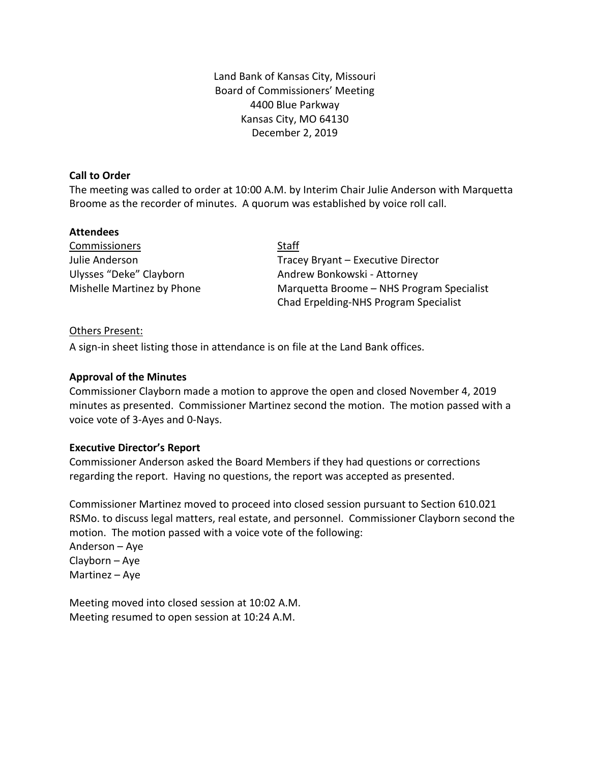Land Bank of Kansas City, Missouri Board of Commissioners' Meeting 4400 Blue Parkway Kansas City, MO 64130 December 2, 2019

## **Call to Order**

The meeting was called to order at 10:00 A.M. by Interim Chair Julie Anderson with Marquetta Broome as the recorder of minutes. A quorum was established by voice roll call.

## **Attendees**

| Commissioners              | <b>Staff</b>                              |  |  |
|----------------------------|-------------------------------------------|--|--|
| Julie Anderson             | Tracey Bryant - Executive Director        |  |  |
| Ulysses "Deke" Clayborn    | Andrew Bonkowski - Attorney               |  |  |
| Mishelle Martinez by Phone | Marquetta Broome - NHS Program Specialist |  |  |
|                            | Chad Erpelding-NHS Program Specialist     |  |  |

# Others Present:

A sign-in sheet listing those in attendance is on file at the Land Bank offices.

## **Approval of the Minutes**

Commissioner Clayborn made a motion to approve the open and closed November 4, 2019 minutes as presented. Commissioner Martinez second the motion. The motion passed with a voice vote of 3-Ayes and 0-Nays.

#### **Executive Director's Report**

Commissioner Anderson asked the Board Members if they had questions or corrections regarding the report. Having no questions, the report was accepted as presented.

Commissioner Martinez moved to proceed into closed session pursuant to Section 610.021 RSMo. to discuss legal matters, real estate, and personnel. Commissioner Clayborn second the motion. The motion passed with a voice vote of the following:

Anderson – Aye Clayborn – Aye Martinez – Aye

Meeting moved into closed session at 10:02 A.M. Meeting resumed to open session at 10:24 A.M.